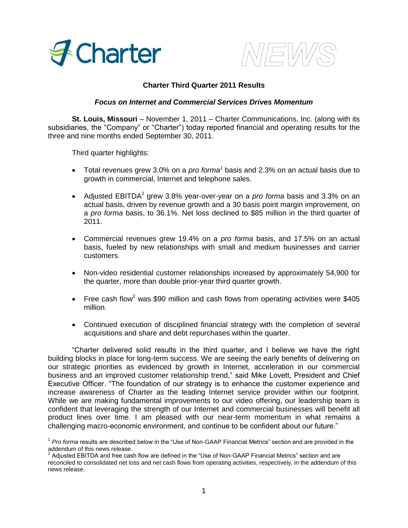



# **Charter Third Quarter 2011 Results**

## *Focus on Internet and Commercial Services Drives Momentum*

**St. Louis, Missouri** – November 1, 2011 – Charter Communications, Inc. (along with its subsidiaries, the "Company" or "Charter") today reported financial and operating results for the three and nine months ended September 30, 2011.

Third quarter highlights:

- Total revenues grew 3.0% on a *pro forma<sup>1</sup>* basis and 2.3% on an actual basis due to growth in commercial, Internet and telephone sales.
- Adjusted EBITDA<sup>2</sup> grew 3.8% year-over-year on a *pro forma* basis and 3.3% on an actual basis, driven by revenue growth and a 30 basis point margin improvement, on a *pro forma* basis, to 36.1%. Net loss declined to \$85 million in the third quarter of 2011.
- Commercial revenues grew 19.4% on a *pro forma* basis, and 17.5% on an actual basis, fueled by new relationships with small and medium businesses and carrier customers.
- Non-video residential customer relationships increased by approximately 54,900 for the quarter, more than double prior-year third quarter growth.
- Free cash flow<sup>2</sup> was \$90 million and cash flows from operating activities were \$405 million.
- Continued execution of disciplined financial strategy with the completion of several acquisitions and share and debt repurchases within the quarter.

"Charter delivered solid results in the third quarter, and I believe we have the right building blocks in place for long-term success. We are seeing the early benefits of delivering on our strategic priorities as evidenced by growth in Internet, acceleration in our commercial business and an improved customer relationship trend," said Mike Lovett, President and Chief Executive Officer. "The foundation of our strategy is to enhance the customer experience and increase awareness of Charter as the leading Internet service provider within our footprint. While we are making fundamental improvements to our video offering, our leadership team is confident that leveraging the strength of our Internet and commercial businesses will benefit all product lines over time. I am pleased with our near-term momentum in what remains a challenging macro-economic environment, and continue to be confident about our future."

<sup>&</sup>lt;sup>1</sup> Pro forma results are described below in the "Use of Non-GAAP Financial Metrics" section and are provided in the addendum of this news release.<br><sup>2</sup> Adjusted EBITDA and free cash flow are defined in the "Use of Non-GAAP Financial Metrics" section and are

reconciled to consolidated net loss and net cash flows from operating activities, respectively, in the addendum of this news release.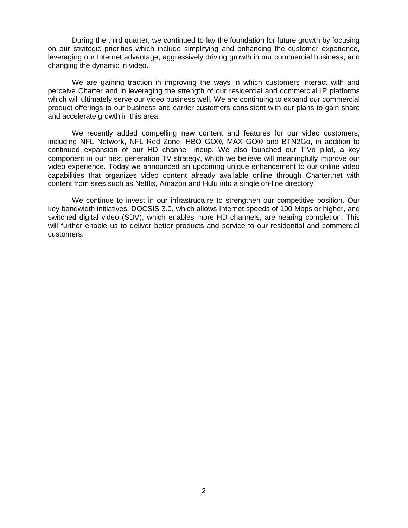During the third quarter, we continued to lay the foundation for future growth by focusing on our strategic priorities which include simplifying and enhancing the customer experience, leveraging our Internet advantage, aggressively driving growth in our commercial business, and changing the dynamic in video.

We are gaining traction in improving the ways in which customers interact with and perceive Charter and in leveraging the strength of our residential and commercial IP platforms which will ultimately serve our video business well. We are continuing to expand our commercial product offerings to our business and carrier customers consistent with our plans to gain share and accelerate growth in this area.

We recently added compelling new content and features for our video customers, including NFL Network, NFL Red Zone, HBO GO®, MAX GO® and BTN2Go, in addition to continued expansion of our HD channel lineup. We also launched our TiVo pilot, a key component in our next generation TV strategy, which we believe will meaningfully improve our video experience. Today we announced an upcoming unique enhancement to our online video capabilities that organizes video content already available online through Charter.net with content from sites such as Netflix, Amazon and Hulu into a single on-line directory.

We continue to invest in our infrastructure to strengthen our competitive position. Our key bandwidth initiatives, DOCSIS 3.0, which allows Internet speeds of 100 Mbps or higher, and switched digital video (SDV), which enables more HD channels, are nearing completion. This will further enable us to deliver better products and service to our residential and commercial customers.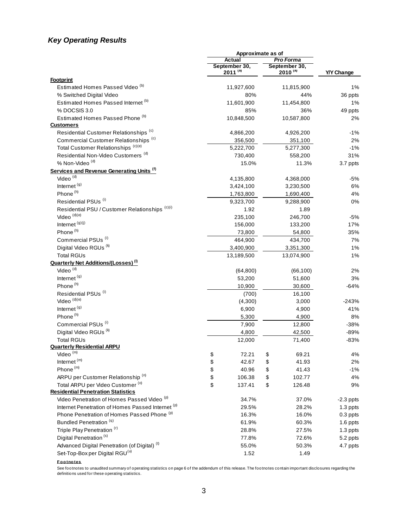# *Key Operating Results*

|                                                          | Approximate as of |                               |    |                               |                   |
|----------------------------------------------------------|-------------------|-------------------------------|----|-------------------------------|-------------------|
|                                                          |                   | Actual                        |    | <b>Pro Forma</b>              |                   |
|                                                          |                   | September 30,<br>$2011^{(a)}$ |    | September 30,<br>$2010^{(a)}$ | <b>Y/Y Change</b> |
| <b>Footprint</b>                                         |                   |                               |    |                               |                   |
| Estimated Homes Passed Video <sup>(b)</sup>              |                   | 11,927,600                    |    | 11,815,900                    | 1%                |
| % Switched Digital Video                                 |                   | 80%                           |    | 44%                           | 36 ppts           |
| Estimated Homes Passed Internet (b)                      |                   | 11,601,900                    |    | 11,454,800                    | 1%                |
| % DOCSIS 3.0                                             |                   | 85%                           |    | 36%                           | 49 ppts           |
| Estimated Homes Passed Phone (b)                         |                   | 10,848,500                    |    | 10,587,800                    | 2%                |
| <b>Customers</b>                                         |                   |                               |    |                               |                   |
| Residential Customer Relationships <sup>(c)</sup>        |                   | 4,866,200                     |    | 4,926,200                     | $-1%$             |
| Commercial Customer Relationships <sup>(c)</sup>         |                   | 356,500                       |    | 351,100                       | 2%                |
| Total Customer Relationships (c)(e)                      |                   | 5,222,700                     |    | 5,277,300                     | $-1%$             |
| Residential Non-Video Customers <sup>(d)</sup>           |                   | 730,400                       |    | 558,200                       | 31%               |
| % Non-Video <sup>(d)</sup>                               |                   | 15.0%                         |    | 11.3%                         | 3.7 ppts          |
| Services and Revenue Generating Units (f)                |                   |                               |    |                               |                   |
| Video <sup>(d)</sup>                                     |                   | 4,135,800                     |    | 4,368,000                     | -5%               |
| Internet <sup>(g)</sup>                                  |                   | 3,424,100                     |    | 3,230,500                     | 6%                |
| Phone <sup>(h)</sup>                                     |                   | 1,763,800                     |    | 1,690,400                     | 4%                |
| Residential PSUs <sup>(i)</sup>                          |                   | 9,323,700                     |    | 9,288,900                     | 0%                |
| Residential PSU / Customer Relationships (c)(i)          |                   | 1.92                          |    | 1.89                          |                   |
| Video $^{(d)(e)}$                                        |                   | 235,100                       |    | 246,700                       | $-5%$             |
| Internet <sup>(g)(j)</sup>                               |                   | 156,000                       |    | 133,200                       | 17%               |
| Phone <sup>(h)</sup>                                     |                   | 73,800                        |    | 54,800                        | 35%               |
| Commercial PSUs <sup>(i)</sup>                           |                   | 464,900                       |    | 434,700                       | 7%                |
| Digital Video RGUs <sup>(k)</sup>                        |                   | 3,400,900                     |    | 3,351,300                     | 1%                |
| <b>Total RGUs</b>                                        |                   | 13,189,500                    |    | 13,074,900                    | 1%                |
| <b>Quarterly Net Additions/(Losses)</b> <sup>(i)</sup>   |                   |                               |    |                               |                   |
| Video <sup>(d)</sup>                                     |                   | (64, 800)                     |    | (66, 100)                     | 2%                |
| Internet <sup>(g)</sup>                                  |                   | 53,200                        |    | 51,600                        | 3%                |
| Phone <sup>(h)</sup>                                     |                   | 10,900                        |    | 30,600                        | -64%              |
| Residential PSUs <sup>(i)</sup>                          |                   | (700)                         |    | 16,100                        |                   |
| Video <sup>(d)(e)</sup>                                  |                   | (4,300)                       |    | 3,000                         | $-243%$           |
| Internet <sup>(g)</sup>                                  |                   | 6,900                         |    | 4,900                         | 41%               |
| Phone <sup>(h)</sup>                                     |                   | 5,300                         |    | 4,900                         | 8%                |
| Commercial PSUs <sup>(i)</sup>                           |                   | 7,900                         |    | 12,800                        | $-38%$            |
| Digital Video RGUs <sup>(k)</sup>                        |                   | 4,800                         |    | 42,500                        | $-89%$            |
| <b>Total RGUs</b>                                        |                   | 12,000                        |    | 71,400                        | $-83%$            |
| <b>Quarterly Residential ARPU</b>                        |                   |                               |    |                               |                   |
| Video $(m)$                                              | \$                | 72.21                         | \$ | 69.21                         | 4%                |
| Internet <sup>(m)</sup>                                  | \$                | 42.67                         | \$ | 41.93                         | 2%                |
| Phone <sup>(m)</sup>                                     | \$                | 40.96                         | \$ | 41.43                         | $-1%$             |
| ARPU per Customer Relationship <sup>(n)</sup>            | \$                | 106.38                        | \$ | 102.77                        | 4%                |
| Total ARPU per Video Customer (o)                        | \$                | 137.41                        | \$ | 126.48                        | 9%                |
| <b>Residential Penetration Statistics</b>                |                   |                               |    |                               |                   |
| Video Penetration of Homes Passed Video (p)              |                   | 34.7%                         |    | 37.0%                         | $-2.3$ ppts       |
| Internet Penetration of Homes Passed Internet (p)        |                   | 29.5%                         |    | 28.2%                         | 1.3 ppts          |
| Phone Penetration of Homes Passed Phone (p)              |                   | 16.3%                         |    | 16.0%                         | 0.3 ppts          |
| Bundled Penetration <sup>(q)</sup>                       |                   | 61.9%                         |    | 60.3%                         | 1.6 ppts          |
| Triple Play Penetration (r)                              |                   | 28.8%                         |    | 27.5%                         | 1.3 ppts          |
| Digital Penetration <sup>(s)</sup>                       |                   | 77.8%                         |    | 72.6%                         | 5.2 ppts          |
| Advanced Digital Penetration (of Digital) <sup>(t)</sup> |                   | 55.0%                         |    | 50.3%                         | 4.7 ppts          |
| Set-Top-Box per Digital RGU <sup>(u)</sup>               |                   | 1.52                          |    | 1.49                          |                   |
|                                                          |                   |                               |    |                               |                   |

**F o o tno tes**

See footnotes to unaudited summary of operating statistics on page 6 of the addendum of this release. The footnotes contain important disclosures regarding the definitions used for these operating statistics.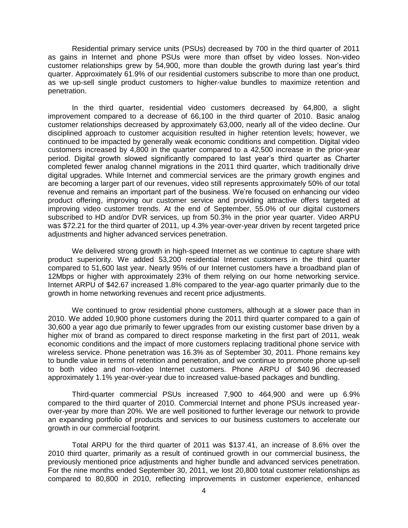Residential primary service units (PSUs) decreased by 700 in the third quarter of 2011 as gains in Internet and phone PSUs were more than offset by video losses. Non-video customer relationships grew by 54,900, more than double the growth during last year's third quarter. Approximately 61.9% of our residential customers subscribe to more than one product, as we up-sell single product customers to higher-value bundles to maximize retention and penetration.

In the third quarter, residential video customers decreased by 64,800, a slight improvement compared to a decrease of 66,100 in the third quarter of 2010. Basic analog customer relationships decreased by approximately 63,000, nearly all of the video decline. Our disciplined approach to customer acquisition resulted in higher retention levels; however, we continued to be impacted by generally weak economic conditions and competition. Digital video customers increased by 4,800 in the quarter compared to a 42,500 increase in the prior-year period. Digital growth slowed significantly compared to last year's third quarter as Charter completed fewer analog channel migrations in the 2011 third quarter, which traditionally drive digital upgrades. While Internet and commercial services are the primary growth engines and are becoming a larger part of our revenues, video still represents approximately 50% of our total revenue and remains an important part of the business. We're focused on enhancing our video product offering, improving our customer service and providing attractive offers targeted at improving video customer trends. At the end of September, 55.0% of our digital customers subscribed to HD and/or DVR services, up from 50.3% in the prior year quarter. Video ARPU was \$72.21 for the third quarter of 2011, up 4.3% year-over-year driven by recent targeted price adjustments and higher advanced services penetration.

We delivered strong growth in high-speed Internet as we continue to capture share with product superiority. We added 53,200 residential Internet customers in the third quarter compared to 51,600 last year. Nearly 95% of our Internet customers have a broadband plan of 12Mbps or higher with approximately 23% of them relying on our home networking service. Internet ARPU of \$42.67 increased 1.8% compared to the year-ago quarter primarily due to the growth in home networking revenues and recent price adjustments.

We continued to grow residential phone customers, although at a slower pace than in 2010. We added 10,900 phone customers during the 2011 third quarter compared to a gain of 30,600 a year ago due primarily to fewer upgrades from our existing customer base driven by a higher mix of brand as compared to direct response marketing in the first part of 2011, weak economic conditions and the impact of more customers replacing traditional phone service with wireless service. Phone penetration was 16.3% as of September 30, 2011. Phone remains key to bundle value in terms of retention and penetration, and we continue to promote phone up-sell to both video and non-video Internet customers. Phone ARPU of \$40.96 decreased approximately 1.1% year-over-year due to increased value-based packages and bundling.

Third-quarter commercial PSUs increased 7,900 to 464,900 and were up 6.9% compared to the third quarter of 2010. Commercial Internet and phone PSUs increased yearover-year by more than 20%. We are well positioned to further leverage our network to provide an expanding portfolio of products and services to our business customers to accelerate our growth in our commercial footprint.

Total ARPU for the third quarter of 2011 was \$137.41, an increase of 8.6% over the 2010 third quarter, primarily as a result of continued growth in our commercial business, the previously mentioned price adjustments and higher bundle and advanced services penetration. For the nine months ended September 30, 2011, we lost 20,800 total customer relationships as compared to 80,800 in 2010, reflecting improvements in customer experience, enhanced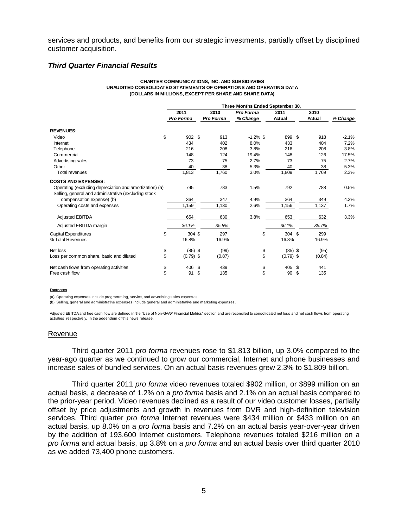services and products, and benefits from our strategic investments, partially offset by disciplined customer acquisition.

## *Third Quarter Financial Results*

#### **CHARTER COMMUNICATIONS, INC. AND SUBSIDIARIES UNAUDITED CONSOLIDATED STATEMENTS OF OPERATIONS AND OPERATING DATA (DOLLARS IN MILLIONS, EXCEPT PER SHARE AND SHARE DATA)**

|                                                         |                  |                  | Three Months Ended September 30, |             |           |          |
|---------------------------------------------------------|------------------|------------------|----------------------------------|-------------|-----------|----------|
|                                                         | 2011             | 2010             | Pro Forma                        | 2011        | 2010      |          |
|                                                         | <b>Pro Forma</b> | <b>Pro Forma</b> | % Change                         | Actual      | Actual    | % Change |
| <b>REVENUES:</b>                                        |                  |                  |                                  |             |           |          |
| \$<br>Video                                             | 902 \$           | 913              | $-1.2\%$ \$                      | 899         | -S<br>918 | $-2.1%$  |
| Internet                                                | 434              | 402              | 8.0%                             | 433         | 404       | 7.2%     |
| Telephone                                               | 216              | 208              | 3.8%                             | 216         | 208       | 3.8%     |
| Commercial                                              | 148              | 124              | 19.4%                            | 148         | 126       | 17.5%    |
| Advertising sales                                       | 73               | 75               | $-2.7%$                          | 73          | 75        | $-2.7%$  |
| Other                                                   | 40               | 38               | 5.3%                             | 40          | 38        | 5.3%     |
| <b>Total revenues</b>                                   | 1,813            | 1,760            | 3.0%                             | 1,809       | 1,769     | 2.3%     |
| <b>COSTS AND EXPENSES:</b>                              |                  |                  |                                  |             |           |          |
| Operating (excluding depreciation and amortization) (a) | 795              | 783              | 1.5%                             | 792         | 788       | 0.5%     |
| Selling, general and administrative (excluding stock    |                  |                  |                                  |             |           |          |
| compensation expense) (b)                               | 364              | 347              | 4.9%                             | 364         | 349       | 4.3%     |
| Operating costs and expenses                            | 1,159            | 1,130            | 2.6%                             | 1,156       | 1,137     | 1.7%     |
| <b>Adjusted EBITDA</b>                                  | 654              | 630              | 3.8%                             | 653         | 632       | 3.3%     |
| Adjusted EBITDA margin                                  | 36.1%            | 35.8%            |                                  | 36.1%       | 35.7%     |          |
| \$<br><b>Capital Expenditures</b>                       | 304S             | 297              | \$                               | 304 \$      | 299       |          |
| % Total Revenues                                        | 16.8%            | 16.9%            |                                  | 16.8%       | 16.9%     |          |
| Net loss<br>\$                                          | $(85)$ \$        | (99)             | \$                               | $(85)$ \$   | (95)      |          |
| \$<br>Loss per common share, basic and diluted          | $(0.79)$ \$      | (0.87)           | \$                               | $(0.79)$ \$ | (0.84)    |          |
| \$<br>Net cash flows from operating activities          | 406              | \$<br>439        | \$                               | 405         | \$<br>441 |          |
| \$<br>Free cash flow                                    | 91               | \$<br>135        | \$                               | 90          | 135<br>\$ |          |

#### **Footnotes**

(a) Operating expenses include programming, service, and advertising sales expenses.

(b) Selling, general and administrative expenses include general and administrative and marketing expenses.

Adjusted EBITDA and free cash flow are defined in the "Use of Non-GAAP Financial Metrics" section and are reconciled to consolidated net loss and net cash flows from operating activities, respectively, in the addendum of this news release.

### Revenue

Third quarter 2011 *pro forma* revenues rose to \$1.813 billion, up 3.0% compared to the year-ago quarter as we continued to grow our commercial, Internet and phone businesses and increase sales of bundled services. On an actual basis revenues grew 2.3% to \$1.809 billion.

Third quarter 2011 *pro forma* video revenues totaled \$902 million, or \$899 million on an actual basis, a decrease of 1.2% on a *pro forma* basis and 2.1% on an actual basis compared to the prior-year period. Video revenues declined as a result of our video customer losses, partially offset by price adjustments and growth in revenues from DVR and high-definition television services. Third quarter *pro forma* Internet revenues were \$434 million or \$433 million on an actual basis, up 8.0% on a *pro forma* basis and 7.2% on an actual basis year-over-year driven by the addition of 193,600 Internet customers. Telephone revenues totaled \$216 million on a *pro forma* and actual basis, up 3.8% on a *pro forma* and an actual basis over third quarter 2010 as we added 73,400 phone customers.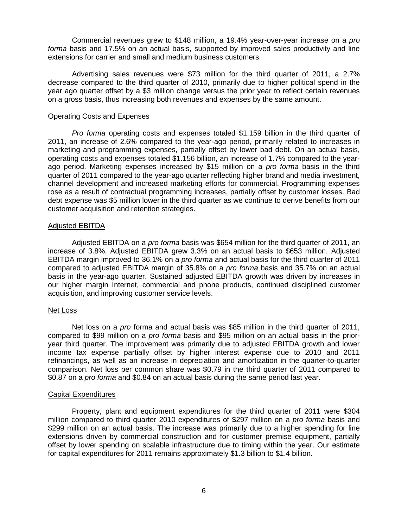Commercial revenues grew to \$148 million, a 19.4% year-over-year increase on a *pro forma* basis and 17.5% on an actual basis, supported by improved sales productivity and line extensions for carrier and small and medium business customers.

Advertising sales revenues were \$73 million for the third quarter of 2011, a 2.7% decrease compared to the third quarter of 2010, primarily due to higher political spend in the year ago quarter offset by a \$3 million change versus the prior year to reflect certain revenues on a gross basis, thus increasing both revenues and expenses by the same amount.

## Operating Costs and Expenses

*Pro forma* operating costs and expenses totaled \$1.159 billion in the third quarter of 2011, an increase of 2.6% compared to the year-ago period, primarily related to increases in marketing and programming expenses, partially offset by lower bad debt. On an actual basis, operating costs and expenses totaled \$1.156 billion, an increase of 1.7% compared to the yearago period. Marketing expenses increased by \$15 million on a *pro forma* basis in the third quarter of 2011 compared to the year-ago quarter reflecting higher brand and media investment, channel development and increased marketing efforts for commercial. Programming expenses rose as a result of contractual programming increases, partially offset by customer losses. Bad debt expense was \$5 million lower in the third quarter as we continue to derive benefits from our customer acquisition and retention strategies.

### Adjusted EBITDA

Adjusted EBITDA on a *pro forma* basis was \$654 million for the third quarter of 2011, an increase of 3.8%. Adjusted EBITDA grew 3.3% on an actual basis to \$653 million. Adjusted EBITDA margin improved to 36.1% on a *pro forma* and actual basis for the third quarter of 2011 compared to adjusted EBITDA margin of 35.8% on a *pro forma* basis and 35.7% on an actual basis in the year-ago quarter. Sustained adjusted EBITDA growth was driven by increases in our higher margin Internet, commercial and phone products, continued disciplined customer acquisition, and improving customer service levels.

### Net Loss

Net loss on a *pro* forma and actual basis was \$85 million in the third quarter of 2011, compared to \$99 million on a *pro forma* basis and \$95 million on an actual basis in the prioryear third quarter. The improvement was primarily due to adjusted EBITDA growth and lower income tax expense partially offset by higher interest expense due to 2010 and 2011 refinancings, as well as an increase in depreciation and amortization in the quarter-to-quarter comparison. Net loss per common share was \$0.79 in the third quarter of 2011 compared to \$0.87 on a *pro forma* and \$0.84 on an actual basis during the same period last year.

### Capital Expenditures

Property, plant and equipment expenditures for the third quarter of 2011 were \$304 million compared to third quarter 2010 expenditures of \$297 million on a *pro forma* basis and \$299 million on an actual basis. The increase was primarily due to a higher spending for line extensions driven by commercial construction and for customer premise equipment, partially offset by lower spending on scalable infrastructure due to timing within the year. Our estimate for capital expenditures for 2011 remains approximately \$1.3 billion to \$1.4 billion.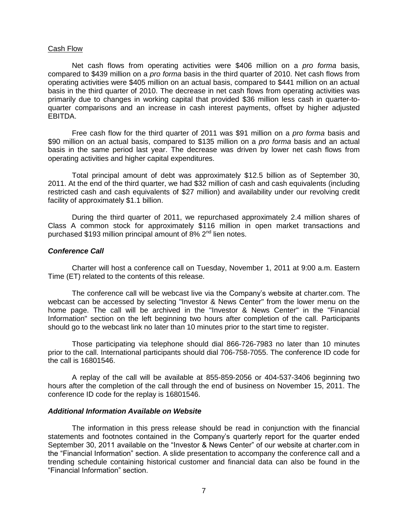## Cash Flow

Net cash flows from operating activities were \$406 million on a *pro forma* basis, compared to \$439 million on a *pro forma* basis in the third quarter of 2010. Net cash flows from operating activities were \$405 million on an actual basis, compared to \$441 million on an actual basis in the third quarter of 2010. The decrease in net cash flows from operating activities was primarily due to changes in working capital that provided \$36 million less cash in quarter-toquarter comparisons and an increase in cash interest payments, offset by higher adjusted EBITDA.

Free cash flow for the third quarter of 2011 was \$91 million on a *pro forma* basis and \$90 million on an actual basis, compared to \$135 million on a *pro forma* basis and an actual basis in the same period last year. The decrease was driven by lower net cash flows from operating activities and higher capital expenditures.

Total principal amount of debt was approximately \$12.5 billion as of September 30, 2011. At the end of the third quarter, we had \$32 million of cash and cash equivalents (including restricted cash and cash equivalents of \$27 million) and availability under our revolving credit facility of approximately \$1.1 billion.

During the third quarter of 2011, we repurchased approximately 2.4 million shares of Class A common stock for approximately \$116 million in open market transactions and purchased \$193 million principal amount of 8%  $2<sup>nd</sup>$  lien notes.

### *Conference Call*

Charter will host a conference call on Tuesday, November 1, 2011 at 9:00 a.m. Eastern Time (ET) related to the contents of this release.

The conference call will be webcast live via the Company's website at charter.com. The webcast can be accessed by selecting "Investor & News Center" from the lower menu on the home page. The call will be archived in the "Investor & News Center" in the "Financial Information" section on the left beginning two hours after completion of the call. Participants should go to the webcast link no later than 10 minutes prior to the start time to register.

Those participating via telephone should dial 866-726-7983 no later than 10 minutes prior to the call. International participants should dial 706-758-7055. The conference ID code for the call is 16801546.

A replay of the call will be available at 855-859-2056 or 404-537-3406 beginning two hours after the completion of the call through the end of business on November 15, 2011. The conference ID code for the replay is 16801546.

## *Additional Information Available on Website*

The information in this press release should be read in conjunction with the financial statements and footnotes contained in the Company's quarterly report for the quarter ended September 30, 2011 available on the "Investor & News Center" of our website at charter.com in the "Financial Information" section. A slide presentation to accompany the conference call and a trending schedule containing historical customer and financial data can also be found in the "Financial Information" section.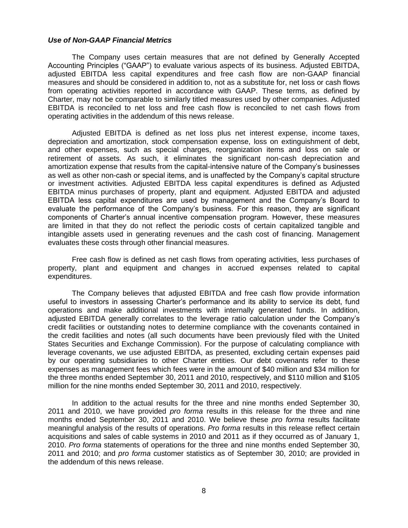## *Use of Non-GAAP Financial Metrics*

The Company uses certain measures that are not defined by Generally Accepted Accounting Principles ("GAAP") to evaluate various aspects of its business. Adjusted EBITDA, adjusted EBITDA less capital expenditures and free cash flow are non-GAAP financial measures and should be considered in addition to, not as a substitute for, net loss or cash flows from operating activities reported in accordance with GAAP. These terms, as defined by Charter, may not be comparable to similarly titled measures used by other companies. Adjusted EBITDA is reconciled to net loss and free cash flow is reconciled to net cash flows from operating activities in the addendum of this news release.

Adjusted EBITDA is defined as net loss plus net interest expense, income taxes, depreciation and amortization, stock compensation expense, loss on extinguishment of debt, and other expenses, such as special charges, reorganization items and loss on sale or retirement of assets. As such, it eliminates the significant non-cash depreciation and amortization expense that results from the capital-intensive nature of the Company's businesses as well as other non-cash or special items, and is unaffected by the Company's capital structure or investment activities. Adjusted EBITDA less capital expenditures is defined as Adjusted EBITDA minus purchases of property, plant and equipment. Adjusted EBITDA and adjusted EBITDA less capital expenditures are used by management and the Company's Board to evaluate the performance of the Company's business. For this reason, they are significant components of Charter's annual incentive compensation program. However, these measures are limited in that they do not reflect the periodic costs of certain capitalized tangible and intangible assets used in generating revenues and the cash cost of financing. Management evaluates these costs through other financial measures.

Free cash flow is defined as net cash flows from operating activities, less purchases of property, plant and equipment and changes in accrued expenses related to capital expenditures.

The Company believes that adjusted EBITDA and free cash flow provide information useful to investors in assessing Charter's performance and its ability to service its debt, fund operations and make additional investments with internally generated funds. In addition, adjusted EBITDA generally correlates to the leverage ratio calculation under the Company's credit facilities or outstanding notes to determine compliance with the covenants contained in the credit facilities and notes (all such documents have been previously filed with the United States Securities and Exchange Commission). For the purpose of calculating compliance with leverage covenants, we use adjusted EBITDA, as presented, excluding certain expenses paid by our operating subsidiaries to other Charter entities. Our debt covenants refer to these expenses as management fees which fees were in the amount of \$40 million and \$34 million for the three months ended September 30, 2011 and 2010, respectively, and \$110 million and \$105 million for the nine months ended September 30, 2011 and 2010, respectively.

In addition to the actual results for the three and nine months ended September 30, 2011 and 2010, we have provided *pro forma* results in this release for the three and nine months ended September 30, 2011 and 2010. We believe these *pro forma* results facilitate meaningful analysis of the results of operations. *Pro forma* results in this release reflect certain acquisitions and sales of cable systems in 2010 and 2011 as if they occurred as of January 1, 2010. *Pro forma* statements of operations for the three and nine months ended September 30, 2011 and 2010; and *pro forma* customer statistics as of September 30, 2010; are provided in the addendum of this news release.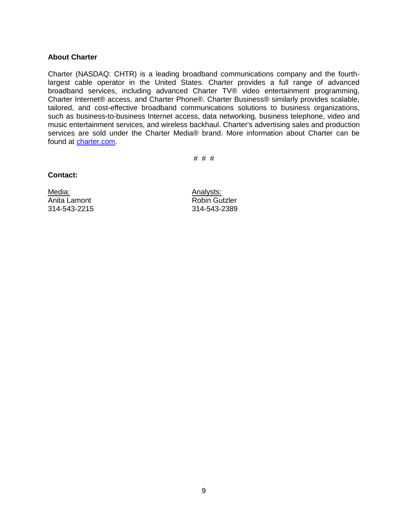## **About Charter**

Charter (NASDAQ: CHTR) is a leading broadband communications company and the fourthlargest cable operator in the United States. Charter provides a full range of advanced broadband services, including advanced Charter TV® video entertainment programming, Charter Internet® access, and Charter Phone®. Charter Business® similarly provides scalable, tailored, and cost-effective broadband communications solutions to business organizations, such as business-to-business Internet access, data networking, business telephone, video and music entertainment services, and wireless backhaul. Charter's advertising sales and production services are sold under the Charter Media® brand. More information about Charter can be found at [charter.com.](http://www.charter.com/)

# # #

## **Contact:**

Media: Manalysts: Analysts: Anita Lamont **Anita** Lamont **Robin Gutzler** 314-543-2215 314-543-2389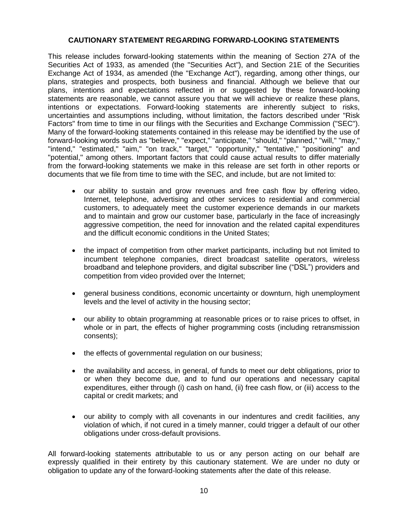## **CAUTIONARY STATEMENT REGARDING FORWARD-LOOKING STATEMENTS**

This release includes forward-looking statements within the meaning of Section 27A of the Securities Act of 1933, as amended (the "Securities Act"), and Section 21E of the Securities Exchange Act of 1934, as amended (the "Exchange Act"), regarding, among other things, our plans, strategies and prospects, both business and financial. Although we believe that our plans, intentions and expectations reflected in or suggested by these forward-looking statements are reasonable, we cannot assure you that we will achieve or realize these plans, intentions or expectations. Forward-looking statements are inherently subject to risks, uncertainties and assumptions including, without limitation, the factors described under "Risk Factors" from time to time in our filings with the Securities and Exchange Commission ("SEC"). Many of the forward-looking statements contained in this release may be identified by the use of forward-looking words such as "believe," "expect," "anticipate," "should," "planned," "will," "may," "intend," "estimated," "aim," "on track," "target," "opportunity," "tentative," "positioning" and "potential," among others. Important factors that could cause actual results to differ materially from the forward-looking statements we make in this release are set forth in other reports or documents that we file from time to time with the SEC, and include, but are not limited to:

- our ability to sustain and grow revenues and free cash flow by offering video, Internet, telephone, advertising and other services to residential and commercial customers, to adequately meet the customer experience demands in our markets and to maintain and grow our customer base, particularly in the face of increasingly aggressive competition, the need for innovation and the related capital expenditures and the difficult economic conditions in the United States;
- the impact of competition from other market participants, including but not limited to incumbent telephone companies, direct broadcast satellite operators, wireless broadband and telephone providers, and digital subscriber line ("DSL") providers and competition from video provided over the Internet;
- general business conditions, economic uncertainty or downturn, high unemployment levels and the level of activity in the housing sector;
- our ability to obtain programming at reasonable prices or to raise prices to offset, in whole or in part, the effects of higher programming costs (including retransmission consents);
- the effects of governmental regulation on our business;
- the availability and access, in general, of funds to meet our debt obligations, prior to or when they become due, and to fund our operations and necessary capital expenditures, either through (i) cash on hand, (ii) free cash flow, or (iii) access to the capital or credit markets; and
- our ability to comply with all covenants in our indentures and credit facilities, any violation of which, if not cured in a timely manner, could trigger a default of our other obligations under cross-default provisions.

All forward-looking statements attributable to us or any person acting on our behalf are expressly qualified in their entirety by this cautionary statement. We are under no duty or obligation to update any of the forward-looking statements after the date of this release.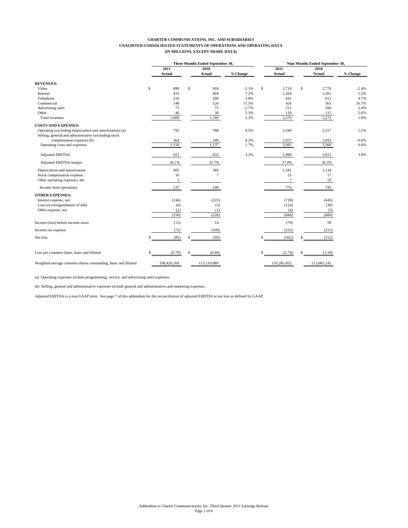#### **CHARTER COMMUNICATIONS, INC. AND SUBSIDIARIES UNAUDITED CONSOLIDATED STATEMENTS OF OPERATIONS AND OPERATING DATA (IN MILLIONS, EXCEPT SHARE DATA)**

|                                                                                                                 |             | Three Months Ended September 30, |          |                |     | Nine Months Ended September 30, |          |  |
|-----------------------------------------------------------------------------------------------------------------|-------------|----------------------------------|----------|----------------|-----|---------------------------------|----------|--|
|                                                                                                                 | 2011        | 2010                             |          | 2011           |     | 2010                            |          |  |
|                                                                                                                 | Actual      | Actual                           | % Change | Actual         |     | Actual                          | % Change |  |
| <b>REVENUES:</b>                                                                                                |             |                                  |          |                |     |                                 |          |  |
| Video                                                                                                           | \$<br>899   | \$<br>918                        | $-2.1%$  | \$<br>2.710    | \$  | 2,776                           | $-2.4%$  |  |
| Internet                                                                                                        | 433         | 404                              | 7.2%     | 1,264          |     | 1,201                           | 5.2%     |  |
| Telephone                                                                                                       | 216         | 208                              | 3.8%     | 641            |     | 612                             | 4.7%     |  |
| Commercial                                                                                                      | 148         | 126                              | 17.5%    | 426            |     | 365                             | 16.7%    |  |
| Advertising sales                                                                                               | 73          | 75                               | $-2.7%$  | 211            |     | 206                             | 2.4%     |  |
| Other                                                                                                           | 40          | 38                               | 5.3%     | 118            |     | 115                             | 2.6%     |  |
| Total revenues                                                                                                  | 1,809       | 1,769                            | 2.3%     | 5,370          |     | 5,275                           | 1.8%     |  |
| <b>COSTS AND EXPENSES:</b>                                                                                      |             |                                  |          |                |     |                                 |          |  |
| Operating (excluding depreciation and amortization) (a)<br>Selling, general and administrative (excluding stock | 792         | 788                              | 0.5%     | 2,344          |     | 2,317                           | 1.2%     |  |
| compensation expense) (b)                                                                                       | 364         | 349                              | 4.3%     | 1,037          |     | 1,043                           | $-0.6%$  |  |
| Operating costs and expenses                                                                                    | 1,156       | 1,137                            | 1.7%     | 3,381          |     | 3,360                           | 0.6%     |  |
| <b>Adjusted EBITDA</b>                                                                                          | 653         | 632                              | 3.3%     | 1,989          |     | 1,915                           | 3.9%     |  |
| Adjusted EBITDA margin                                                                                          | 36.1%       | 35.7%                            |          | 37.0%          |     | 36.3%                           |          |  |
| Depreciation and amortization                                                                                   | 405         | 385                              |          | 1,181          |     | 1,134                           |          |  |
| Stock compensation expense                                                                                      | 10          | $7\phantom{.0}$                  |          | 25             |     | 17                              |          |  |
| Other operating expenses, net                                                                                   | 1           |                                  |          | $\overline{7}$ |     | 19                              |          |  |
| Income from operations                                                                                          | 237         | 240                              |          | 776            |     | 745                             |          |  |
| <b>OTHER EXPENSES:</b>                                                                                          |             |                                  |          |                |     |                                 |          |  |
| Interest expense, net                                                                                           | (244)       | (222)                            |          | (718)          |     | (645)                           |          |  |
| Loss on extinguishment of debt                                                                                  | (4)         | (3)                              |          | (124)          |     | (38)                            |          |  |
| Other expense, net                                                                                              | (2)         | (1)                              |          | (4)            |     | (3)                             |          |  |
|                                                                                                                 | (250)       | (226)                            |          | (846)          |     | (686)                           |          |  |
| Income (loss) before income taxes                                                                               | (13)        | 14                               |          | (70)           |     | 59                              |          |  |
| Income tax expense                                                                                              | (72)        | (109)                            |          | (232)          |     | (211)                           |          |  |
| Net loss                                                                                                        | (85)        | (95)                             |          | (302)          | S   | (152)                           |          |  |
| Loss per common share, basic and diluted                                                                        | (0.79)      | (0.84)                           |          | (2.74)         | \$. | (1.34)                          |          |  |
| Weighted average common shares outstanding, basic and diluted                                                   | 108,420,169 | 113,110,889                      |          | 110,285,852    |     | 113,081,242                     |          |  |

(a) Operating expenses include programming, service, and advertising sales expenses.

(b) Selling, general and administrative expenses include general and administrative and marketing expenses.

Adjusted EBITDA is a non-GAAP term. See page 7 of this addendum for the reconciliation of adjusted EBITDA to net loss as defined by GAAP.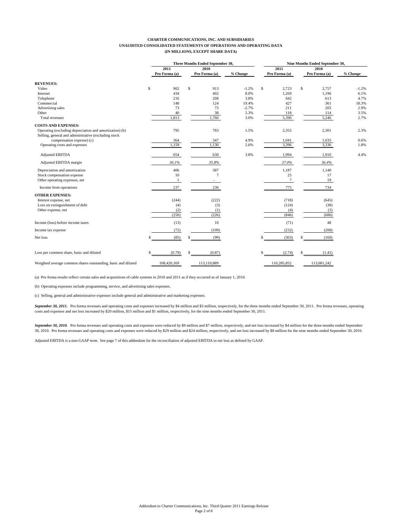#### **CHARTER COMMUNICATIONS, INC. AND SUBSIDIARIES UNAUDITED CONSOLIDATED STATEMENTS OF OPERATIONS AND OPERATING DATA (IN MILLIONS, EXCEPT SHARE DATA)**

|                                                                                                                 | Three Months Ended September 30, |      |                |          |    | Nine Months Ended September 30, |      |               |          |  |
|-----------------------------------------------------------------------------------------------------------------|----------------------------------|------|----------------|----------|----|---------------------------------|------|---------------|----------|--|
|                                                                                                                 | 2011                             | 2010 |                |          |    | 2011                            | 2010 |               |          |  |
|                                                                                                                 | Pro Forma (a)                    |      | Pro Forma (a)  | % Change |    | Pro Forma (a)                   |      | Pro Forma (a) | % Change |  |
| <b>REVENUES:</b>                                                                                                |                                  |      |                |          |    |                                 |      |               |          |  |
| Video                                                                                                           | \$<br>902                        | \$   | 913            | $-1.2%$  | \$ | 2,723                           | \$   | 2,757         | $-1.2%$  |  |
| Internet                                                                                                        | 434                              |      | 402            | 8.0%     |    | 1,269                           |      | 1,196         | 6.1%     |  |
| Telephone                                                                                                       | 216                              |      | 208            | 3.8%     |    | 642                             |      | 613           | 4.7%     |  |
| Commercial                                                                                                      | 148                              |      | 124            | 19.4%    |    | 427                             |      | 361           | 18.3%    |  |
| Advertising sales                                                                                               | 73                               |      | 75             | $-2.7%$  |    | 211                             |      | 205           | 2.9%     |  |
| Other                                                                                                           | 40                               |      | 38             | 5.3%     |    | 118                             |      | 114           | 3.5%     |  |
| Total revenues                                                                                                  | 1,813                            |      | 1,760          | 3.0%     |    | 5,390                           |      | 5,246         | 2.7%     |  |
| <b>COSTS AND EXPENSES:</b>                                                                                      |                                  |      |                |          |    |                                 |      |               |          |  |
| Operating (excluding depreciation and amortization) (b)<br>Selling, general and administrative (excluding stock | 795                              |      | 783            | 1.5%     |    | 2,355                           |      | 2,301         | 2.3%     |  |
| compensation expense) (c)                                                                                       | 364                              |      | 347            | 4.9%     |    | 1,041                           |      | 1,035         | 0.6%     |  |
| Operating costs and expenses                                                                                    | 1,159                            |      | 1,130          | 2.6%     |    | 3,396                           |      | 3,336         | 1.8%     |  |
| <b>Adjusted EBITDA</b>                                                                                          | 654                              |      | 630            | 3.8%     |    | 1,994                           |      | 1,910         | 4.4%     |  |
| Adjusted EBITDA margin                                                                                          | 36.1%                            |      | 35.8%          |          |    | 37.0%                           |      | 36.4%         |          |  |
| Depreciation and amortization                                                                                   | 406                              |      | 387            |          |    | 1,187                           |      | 1,140         |          |  |
| Stock compensation expense                                                                                      | 10                               |      | $\overline{7}$ |          |    | 25                              |      | 17            |          |  |
| Other operating expenses, net                                                                                   | $\mathbf{1}$                     |      | ٠              |          |    | $\tau$                          |      | 19            |          |  |
| Income from operations                                                                                          | 237                              |      | 236            |          |    | 775                             |      | 734           |          |  |
| <b>OTHER EXPENSES:</b>                                                                                          |                                  |      |                |          |    |                                 |      |               |          |  |
| Interest expense, net                                                                                           | (244)                            |      | (222)          |          |    | (718)                           |      | (645)         |          |  |
| Loss on extinguishment of debt                                                                                  | (4)                              |      | (3)            |          |    | (124)                           |      | (38)          |          |  |
| Other expense, net                                                                                              | (2)                              |      | (1)            |          |    | (4)                             |      | (3)           |          |  |
|                                                                                                                 | (250)                            |      | (226)          |          |    | (846)                           |      | (686)         |          |  |
| Income (loss) before income taxes                                                                               | (13)                             |      | 10             |          |    | (71)                            |      | 48            |          |  |
| Income tax expense                                                                                              | (72)                             |      | (109)          |          |    | (232)                           |      | (208)         |          |  |
| Net loss                                                                                                        | (85)                             |      | (99)           |          |    | (303)                           | S    | (160)         |          |  |
| Loss per common share, basic and diluted                                                                        | (0.79)                           |      | (0.87)         |          |    | (2.74)                          |      | (1.41)        |          |  |
| Weighted average common shares outstanding, basic and diluted                                                   | 108,420,169                      |      | 113,110,889    |          |    | 110,285,852                     |      | 113,081,242   |          |  |

(a) Pro forma results reflect certain sales and acquisitions of cable systems in 2010 and 2011 as if they occurred as of January 1, 2010.

(b) Operating expenses include programming, service, and advertising sales expenses.

(c) Selling, general and administrative expenses include general and administrative and marketing expenses.

September 30, 2011. Pro forma revenues and operating costs and expenses increased by \$4 million and \$3 million, respectively, for the three months ended September 30, 2011. Pro forma revenues, operating costs and expenses and net loss increased by \$20 million, \$15 million and \$1 million, respectively, for the nine months ended September 30, 2011.

September 30, 2010. Pro forma revenues and operating costs and expenses were reduced by \$9 million and \$7 million, respectively, and net loss increased by \$4 million for the three months ended September 30, 2010. Pro forma revenues and operating costs and expenses were reduced by \$29 million and \$24 million, respectively, and net loss increased by \$8 million for the nine months ended September 30, 2010.

Adjusted EBITDA is a non-GAAP term. See page 7 of this addendum for the reconciliation of adjusted EBITDA to net loss as defined by GAAP.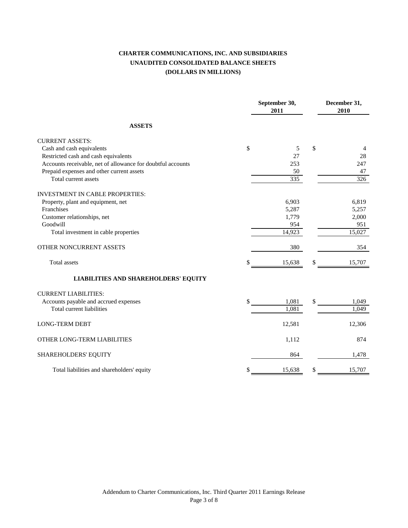# **CHARTER COMMUNICATIONS, INC. AND SUBSIDIARIES UNAUDITED CONSOLIDATED BALANCE SHEETS (DOLLARS IN MILLIONS)**

|                                                             | September 30,<br>2011 | December 31,<br>2010 |
|-------------------------------------------------------------|-----------------------|----------------------|
| <b>ASSETS</b>                                               |                       |                      |
| <b>CURRENT ASSETS:</b>                                      |                       |                      |
| Cash and cash equivalents                                   | \$<br>5               | \$<br>4              |
| Restricted cash and cash equivalents                        | 27                    | 28                   |
| Accounts receivable, net of allowance for doubtful accounts | 253                   | 247                  |
| Prepaid expenses and other current assets                   | 50                    | 47                   |
| Total current assets                                        | 335                   | 326                  |
| <b>INVESTMENT IN CABLE PROPERTIES:</b>                      |                       |                      |
| Property, plant and equipment, net                          | 6,903                 | 6,819                |
| Franchises                                                  | 5,287                 | 5,257                |
| Customer relationships, net                                 | 1,779                 | 2,000                |
| Goodwill                                                    | 954                   | 951                  |
| Total investment in cable properties                        | 14,923                | 15,027               |
| OTHER NONCURRENT ASSETS                                     | 380                   | 354                  |
| <b>Total</b> assets                                         | \$<br>15,638          | \$<br>15,707         |
| <b>LIABILITIES AND SHAREHOLDERS' EQUITY</b>                 |                       |                      |
| <b>CURRENT LIABILITIES:</b>                                 |                       |                      |
| Accounts payable and accrued expenses                       | \$<br>1,081           | \$<br>1,049          |
| Total current liabilities                                   | 1,081                 | 1,049                |
| <b>LONG-TERM DEBT</b>                                       | 12,581                | 12,306               |
| OTHER LONG-TERM LIABILITIES                                 | 1,112                 | 874                  |
| SHAREHOLDERS' EQUITY                                        | 864                   | 1,478                |
| Total liabilities and shareholders' equity                  | \$<br>15,638          | \$<br>15,707         |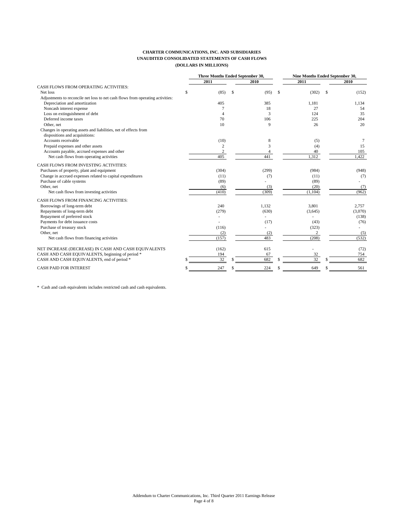### **CHARTER COMMUNICATIONS, INC. AND SUBSIDIARIES UNAUDITED CONSOLIDATED STATEMENTS OF CASH FLOWS (DOLLARS IN MILLIONS)**

|                                                                                | Three Months Ended September 30, |   |              |     | Nine Months Ended September 30, |    |         |
|--------------------------------------------------------------------------------|----------------------------------|---|--------------|-----|---------------------------------|----|---------|
|                                                                                | 2011                             |   | 2010         |     | 2011                            |    | 2010    |
| CASH FLOWS FROM OPERATING ACTIVITIES:                                          |                                  |   |              |     |                                 |    |         |
| Net loss                                                                       | (85)                             | S | (95)         | -\$ | (302)                           | \$ | (152)   |
| Adjustments to reconcile net loss to net cash flows from operating activities: |                                  |   |              |     |                                 |    |         |
| Depreciation and amortization                                                  | 405                              |   | 385          |     | 1.181                           |    | 1,134   |
| Noncash interest expense                                                       |                                  |   | 18           |     | 27                              |    | 54      |
| Loss on extinguishment of debt                                                 | $\Delta$                         |   | 3            |     | 124                             |    | 35      |
| Deferred income taxes                                                          | 70                               |   | 106          |     | 225                             |    | 204     |
| Other, net                                                                     | 10                               |   | $\mathbf{Q}$ |     | 26                              |    | 20      |
| Changes in operating assets and liabilities, net of effects from               |                                  |   |              |     |                                 |    |         |
| dispositions and acquisitions:                                                 |                                  |   |              |     |                                 |    |         |
| Accounts receivable                                                            | (10)                             |   | 8            |     | (5)                             |    | 7       |
| Prepaid expenses and other assets                                              | $\sqrt{2}$                       |   | 3            |     | (4)                             |    | 15      |
| Accounts payable, accrued expenses and other                                   | $\overline{c}$                   |   | 4            |     | 40                              |    | 105     |
| Net cash flows from operating activities                                       | 405                              |   | 441          |     | 1,312                           |    | 1,422   |
| CASH FLOWS FROM INVESTING ACTIVITIES:                                          |                                  |   |              |     |                                 |    |         |
| Purchases of property, plant and equipment                                     | (304)                            |   | (299)        |     | (984)                           |    | (948)   |
| Change in accrued expenses related to capital expenditures                     | (11)                             |   | (7)          |     | (11)                            |    | (7)     |
| Purchase of cable systems                                                      | (89)                             |   |              |     | (89)                            |    |         |
| Other, net                                                                     | (6)                              |   | (3)          |     | (20)                            |    | (7)     |
| Net cash flows from investing activities                                       | (410)                            |   | (309)        |     | (1,104)                         |    | (962)   |
| CASH FLOWS FROM FINANCING ACTIVITIES:                                          |                                  |   |              |     |                                 |    |         |
| Borrowings of long-term debt                                                   | 240                              |   | 1,132        |     | 3,801                           |    | 2,757   |
| Repayments of long-term debt                                                   | (279)                            |   | (630)        |     | (3,645)                         |    | (3,070) |
| Repayment of preferred stock                                                   |                                  |   |              |     |                                 |    | (138)   |
| Payments for debt issuance costs                                               |                                  |   | (17)         |     | (43)                            |    | (76)    |
| Purchase of treasury stock                                                     | (116)                            |   |              |     | (323)                           |    |         |
| Other, net                                                                     | (2)                              |   | (2)          |     | 2                               |    | (5)     |
| Net cash flows from financing activities                                       | (157)                            |   | 483          |     | (208)                           |    | (532)   |
| NET INCREASE (DECREASE) IN CASH AND CASH EQUIVALENTS                           | (162)                            |   | 615          |     |                                 |    | (72)    |
| CASH AND CASH EQUIVALENTS, beginning of period *                               | 194                              |   | 67           |     | 32                              |    | 754     |
| CASH AND CASH EQUIVALENTS, end of period *                                     | 32                               |   | 682          |     | 32                              |    | 682     |
| <b>CASH PAID FOR INTEREST</b>                                                  | 247                              |   | 224          |     | 649                             |    | 561     |

\* Cash and cash equivalents includes restricted cash and cash equivalents.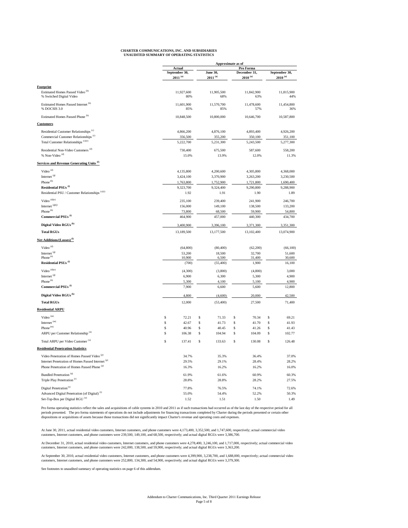| <b>CHARTER COMMUNICATIONS, INC. AND SUBSIDIARIES</b> |
|------------------------------------------------------|
| UNAUDITED SUMMARY OF OPERATING STATISTICS            |

|                                                                         |              |                                                |          | Approximate as of        |          |                                           |          |                               |  |
|-------------------------------------------------------------------------|--------------|------------------------------------------------|----------|--------------------------|----------|-------------------------------------------|----------|-------------------------------|--|
|                                                                         |              | <b>Actual</b><br>September 30,<br>$2011^{(a)}$ |          | June 30,<br>$2011^{(a)}$ |          | Pro Forma<br>December 31,<br>$2010^{(a)}$ |          | September 30,<br>$2010^{(a)}$ |  |
| Footprint                                                               |              |                                                |          |                          |          |                                           |          |                               |  |
| Estimated Homes Passed Video <sup>(b)</sup><br>% Switched Digital Video |              | 11,927,600<br>80%                              |          | 11,905,500<br>68%        |          | 11,842,900<br>63%                         |          | 11,815,900<br>44%             |  |
| Estimated Homes Passed Internet (b)<br>% DOCSIS 3.0                     |              | 11,601,900<br>85%                              |          | 11,570,700<br>85%        |          | 11,478,600<br>57%                         |          | 11,454,800<br>36%             |  |
| Estimated Homes Passed Phone <sup>(b)</sup>                             |              | 10,848,500                                     |          | 10,800,000               |          | 10,646,700                                |          | 10,587,800                    |  |
| <b>Customers</b>                                                        |              |                                                |          |                          |          |                                           |          |                               |  |
| Residential Customer Relationships <sup>(c)</sup>                       |              | 4,866,200                                      |          | 4,876,100                |          | 4,893,400                                 |          | 4,926,200                     |  |
| Commercial Customer Relationships <sup>(c)</sup>                        |              | 356,500                                        |          | 355,200                  |          | 350,100                                   |          | 351,100                       |  |
| Total Customer Relationships <sup>(c)(e)</sup>                          |              | 5,222,700                                      |          | 5,231,300                |          | 5,243,500                                 |          | 5,277,300                     |  |
| Residential Non-Video Customers <sup>(d)</sup>                          |              | 730,400                                        |          | 675,500                  |          | 587,600                                   |          | 558,200                       |  |
| % Non-Video <sup>(d)</sup>                                              |              | 15.0%                                          |          | 13.9%                    |          | 12.0%                                     |          | 11.3%                         |  |
| <b>Services and Revenue Generating Units (f)</b>                        |              |                                                |          |                          |          |                                           |          |                               |  |
| Video <sup>(d)</sup>                                                    |              | 4,135,800                                      |          | 4,200,600                |          | 4,305,800                                 |          | 4,368,000                     |  |
| Internet <sup>(g)</sup>                                                 |              | 3,424,100                                      |          | 3,370,900                |          | 3,263,200                                 |          | 3,230,500                     |  |
| Phone <sup>(h)</sup>                                                    |              | 1,763,800                                      |          | 1,752,900                |          | 1,721,800                                 |          | 1,690,400                     |  |
| Residential PSUs <sup>(i)</sup>                                         |              | 9,323,700                                      |          | 9,324,400                |          | 9,290,800                                 |          | 9,288,900                     |  |
| Residential PSU / Customer Relationships <sup>(c)(i)</sup>              |              | 1.92                                           |          | 1.91                     |          | 1.90                                      |          | 1.89                          |  |
| Video $^{(d)(e)}$                                                       |              | 235,100                                        |          | 239,400                  |          | 241,900                                   |          | 246,700                       |  |
| Internet <sup>(g)(j)</sup>                                              |              | 156,000                                        |          | 149,100                  |          | 138,500                                   |          | 133,200                       |  |
| Phone <sup>(h)</sup>                                                    |              | 73,800                                         |          | 68,500                   |          | 59,900                                    |          | 54,800                        |  |
| Commercial PSUs <sup>(i)</sup>                                          |              | 464,900                                        |          | 457,000                  |          | 440,300                                   |          | 434,700                       |  |
| Digital Video RGUs <sup>(k)</sup>                                       |              | 3,400,900                                      |          | 3,396,100                |          | 3,371,300                                 |          | 3,351,300                     |  |
| <b>Total RGUs</b>                                                       |              | 13,189,500                                     |          | 13,177,500               |          | 13,102,400                                |          | 13,074,900                    |  |
| Net Additions/(Losses) <sup>(l)</sup>                                   |              |                                                |          |                          |          |                                           |          |                               |  |
| Video <sup>(d)</sup>                                                    |              | (64, 800)                                      |          | (80, 400)                |          | (62,200)                                  |          | (66,100)                      |  |
| Internet <sup>(g)</sup>                                                 |              | 53,200                                         |          | 18,500                   |          | 32,700                                    |          | 51,600                        |  |
| Phone <sup>(h)</sup><br>Residential PSUs <sup>(i)</sup>                 |              | 10,900<br>(700)                                |          | 6,500                    |          | 31,400<br>1,900                           |          | 30,600<br>16,100              |  |
|                                                                         |              |                                                |          | (55, 400)                |          |                                           |          |                               |  |
| Video $^{(d)(e)}$                                                       |              | (4,300)                                        |          | (3,800)                  |          | (4,800)                                   |          | 3,000                         |  |
| Internet <sup>(g)</sup><br>Phone <sup>(h)</sup>                         |              | 6,900<br>5,300                                 |          | 6,300<br>4,100           |          | 5,300<br>5,100                            |          | 4,900<br>4,900                |  |
| Commercial PSUs <sup>(i)</sup>                                          |              | 7,900                                          |          | 6,600                    |          | 5,600                                     |          | 12,800                        |  |
| Digital Video RGUs <sup>(k)</sup>                                       |              |                                                |          |                          |          |                                           |          |                               |  |
|                                                                         |              | 4,800                                          |          | (4,600)                  |          | 20,000                                    |          | 42,500                        |  |
| <b>Total RGUs</b>                                                       |              | 12,000                                         |          | (53, 400)                |          | 27,500                                    |          | 71,400                        |  |
| <b>Residential ARPU</b>                                                 |              |                                                |          |                          |          |                                           |          |                               |  |
| Video <sup>(m)</sup>                                                    | \$           | 72.21                                          | \$       | 71.33                    | \$       | 70.34                                     | \$       | 69.21                         |  |
| Internet <sup>(m)</sup>                                                 | \$           | 42.67                                          | \$       | 41.73                    | \$       | 41.70                                     | \$       | 41.93                         |  |
| $P$ hone $\rm ^{(m)}$<br>ARPU per Customer Relationship (n)             | \$<br>\$     | 40.96<br>106.38                                | \$<br>\$ | 40.45<br>104.94          | \$<br>\$ | 41.26<br>104.09                           | \$<br>\$ | 41.43<br>102.77               |  |
|                                                                         |              |                                                |          |                          |          |                                           |          |                               |  |
| Total ARPU per Video Customer <sup>(0)</sup>                            | $\mathsf{s}$ | 137.41                                         | \$       | 133.63                   | \$       | 130.08                                    | \$       | 126.48                        |  |
| <b>Residential Penetration Statistics</b>                               |              |                                                |          |                          |          |                                           |          |                               |  |
| Video Penetration of Homes Passed Video (p)                             |              | 34.7%                                          |          | 35.3%                    |          | 36.4%                                     |          | 37.0%                         |  |
| Internet Penetration of Homes Passed Internet (p)                       |              | 29.5%                                          |          | 29.1%                    |          | 28.4%                                     |          | 28.2%                         |  |
| Phone Penetration of Homes Passed Phone (p)                             |              | 16.3%                                          |          | 16.2%                    |          | 16.2%                                     |          | 16.0%                         |  |
| Bundled Penetration <sup>(q)</sup>                                      |              | 61.9%                                          |          | 61.6%                    |          | 60.9%                                     |          | 60.3%                         |  |
| Triple Play Penetration <sup>(r)</sup>                                  |              | 28.8%                                          |          | 28.8%                    |          | 28.2%                                     |          | 27.5%                         |  |
| Digital Penetration <sup>(s)</sup>                                      |              | 77.8%                                          |          | 76.5%                    |          | 74.1%                                     |          | 72.6%                         |  |
| Advanced Digital Penetration (of Digital) <sup>(0)</sup>                |              | 55.0%                                          |          | 54.4%                    |          | 52.2%                                     |          | 50.3%                         |  |
| Set-Top-Box per Digital RGU (u)                                         |              | 1.52                                           |          | 1.51                     |          | 1.50                                      |          | 1.49                          |  |

Pro forma operating statistics reflect the sales and acquisitions of cable systems in 2010 and 2011 as if such transactions had occurred as of the last day of the respective period for all<br>periods presented. The pro forma

At June 30, 2011, actual residential video customers, Internet customers, and phone customers were 4,173,400, 3,352,500, and 1,747,600, respectively; actual commercial video<br>customers, Internet customers, and phone custome

At December 31, 2010, actual residential video customers, Internet customers, and phone customers were 4,278,400, 3,246,100, and 1,717,000, respectively; actual commercial video customers, Internet customers, and phone cus

At September 30, 2010, actual residential video customers, Internet customers, and phone customers were 4,399,900, 3,238,700, and 1,688,000, respectively; actual commercial video<br>customers, Internet customers, and phone cu

See footnotes to unaudited summary of operating statistics on page 6 of this addendum.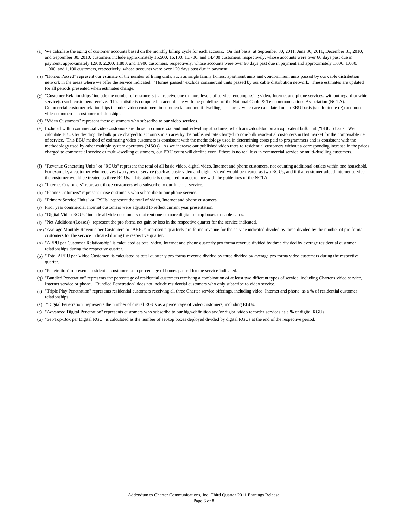- (a) We calculate the aging of customer accounts based on the monthly billing cycle for each account. On that basis, at September 30, 2011, June 30, 2011, December 31, 2010, and September 30, 2010, customers include approximately 15,500, 16,100, 15,700, and 14,400 customers, respectively, whose accounts were over 60 days past due in payment, approximately 1,900, 2,200, 1,800, and 1,900 customers, respectively, whose accounts were over 90 days past due in payment and approximately 1,000, 1,000, 1,000, and 1,100 customers, respectively, whose accounts were over 120 days past due in payment.
- (b) "Homes Passed" represent our estimate of the number of living units, such as single family homes, apartment units and condominium units passed by our cable distribution network in the areas where we offer the service indicated. "Homes passed" exclude commercial units passed by our cable distribution network. These estimates are updated for all periods presented when estimates change.
- (c) "Customer Relationships" include the number of customers that receive one or more levels of service, encompassing video, Internet and phone services, without regard to which service(s) such customers receive. This statistic is computed in accordance with the guidelines of the National Cable & Telecommunications Association (NCTA). Commercial customer relationships includes video customers in commercial and multi-dwelling structures, which are calculated on an EBU basis (see footnote (e)) and nonvideo commercial customer relationships.
- (d) "Video Customers" represent those customers who subscribe to our video services.
- (e) Included within commercial video customers are those in commercial and multi-dwelling structures, which are calculated on an equivalent bulk unit ("EBU") basis. We calculate EBUs by dividing the bulk price charged to accounts in an area by the published rate charged to non-bulk residential customers in that market for the comparable tier of service. This EBU method of estimating video customers is consistent with the methodology used in determining costs paid to programmers and is consistent with the methodology used by other multiple system operators (MSOs). As we increase our published video rates to residential customers without a corresponding increase in the prices charged to commercial service or multi-dwelling customers, our EBU count will decline even if there is no real loss in commercial service or multi-dwelling customers.
- (f) "Revenue Generating Units" or "RGUs" represent the total of all basic video, digital video, Internet and phone customers, not counting additional outlets within one household. For example, a customer who receives two types of service (such as basic video and digital video) would be treated as two RGUs, and if that customer added Internet service, the customer would be treated as three RGUs. This statistic is computed in accordance with the guidelines of the NCTA.
- (g) "Internet Customers" represent those customers who subscribe to our Internet service.
- (h) "Phone Customers" represent those customers who subscribe to our phone service.
- (i) "Primary Service Units" or "PSUs" represent the total of video, Internet and phone customers.
- (j) Prior year commercial Internet customers were adjusted to reflect current year presentation.
- (k) "Digital Video RGUs" include all video customers that rent one or more digital set-top boxes or cable cards.
- (l) "Net Additions/(Losses)" represent the pro forma net gain or loss in the respective quarter for the service indicated.
- (m) "Average Monthly Revenue per Customer" or "ARPU" represents quarterly pro forma revenue for the service indicated divided by three divided by the number of pro forma customers for the service indicated during the respective quarter.
- (n) "ARPU per Customer Relationship" is calculated as total video, Internet and phone quarterly pro forma revenue divided by three divided by average residential customer relationships during the respective quarter.
- (o) "Total ARPU per Video Customer" is calculated as total quarterly pro forma revenue divided by three divided by average pro forma video customers during the respective quarter.
- (p) "Penetration" represents residential customers as a percentage of homes passed for the service indicated.
- (q) "Bundled Penetration" represents the percentage of residential customers receiving a combination of at least two different types of service, including Charter's video service, Internet service or phone. "Bundled Penetration" does not include residential customers who only subscribe to video service.
- (r) "Triple Play Penetration" represents residential customers receiving all three Charter service offerings, including video, Internet and phone, as a % of residential customer relationships.
- (s) "Digital Penetration" represents the number of digital RGUs as a percentage of video customers, including EBUs.
- (t) "Advanced Digital Penetration" represents customers who subscribe to our high-definition and/or digital video recorder services as a % of digital RGUs.
- (u) "Set-Top-Box per Digital RGU" is calculated as the number of set-top boxes deployed divided by digital RGUs at the end of the respective period.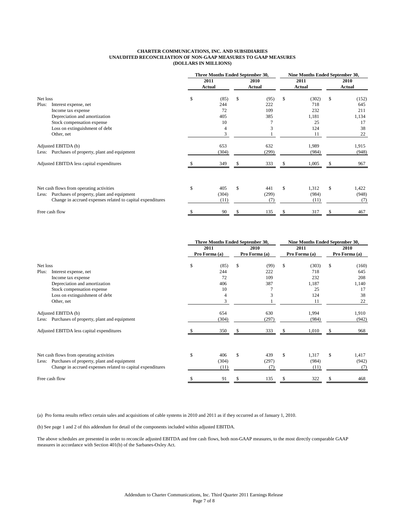### **CHARTER COMMUNICATIONS, INC. AND SUBSIDIARIES UNAUDITED RECONCILIATION OF NON-GAAP MEASURES TO GAAP MEASURES (DOLLARS IN MILLIONS)**

|          |                                                            | Three Months Ended September 30, |                       |     | Nine Months Ended September 30, |              |                       |    |                |
|----------|------------------------------------------------------------|----------------------------------|-----------------------|-----|---------------------------------|--------------|-----------------------|----|----------------|
|          |                                                            |                                  | 2011<br><b>Actual</b> |     | 2010<br>Actual                  |              | 2011<br><b>Actual</b> |    | 2010<br>Actual |
| Net loss |                                                            | \$                               | (85)                  | S   | (95)                            | \$           | (302)                 | \$ | (152)          |
| Plus:    | Interest expense, net                                      |                                  | 244                   |     | 222                             |              | 718                   |    | 645            |
|          | Income tax expense                                         |                                  | 72                    |     | 109                             |              | 232                   |    | 211            |
|          | Depreciation and amortization                              |                                  | 405                   |     | 385                             |              | 1,181                 |    | 1,134          |
|          | Stock compensation expense                                 |                                  | 10                    |     |                                 |              | 25                    |    | 17             |
|          | Loss on extinguishment of debt                             |                                  | 4                     |     |                                 |              | 124                   |    | 38             |
|          | Other, net                                                 |                                  | 3                     |     |                                 |              | 11                    |    | 22             |
|          | Adjusted EBITDA (b)                                        |                                  | 653                   |     | 632                             |              | 1,989                 |    | 1,915          |
|          | Less: Purchases of property, plant and equipment           |                                  | (304)                 |     | (299)                           |              | (984)                 |    | (948)          |
|          | Adjusted EBITDA less capital expenditures                  |                                  | 349                   | S   | 333                             | S            | 1,005                 | S  | 967            |
|          |                                                            |                                  |                       |     |                                 |              |                       |    |                |
|          | Net cash flows from operating activities                   | \$                               | 405                   | \$. | 441                             | $\mathbb{S}$ | 1,312                 | \$ | 1,422          |
| Less:    | Purchases of property, plant and equipment                 |                                  | (304)                 |     | (299)                           |              | (984)                 |    | (948)          |
|          | Change in accrued expenses related to capital expenditures |                                  | (11)                  |     | (7)                             |              | (11)                  |    | (7)            |
|          | Free cash flow                                             | \$                               | 90                    | \$  | 135                             | S            | 317                   | \$ | 467            |

|                                                            | Three Months Ended September 30, |               |     |               | Nine Months Ended September 30, |       |               |       |  |
|------------------------------------------------------------|----------------------------------|---------------|-----|---------------|---------------------------------|-------|---------------|-------|--|
|                                                            |                                  | 2011          |     | 2010          |                                 | 2011  |               | 2010  |  |
|                                                            |                                  | Pro Forma (a) |     | Pro Forma (a) | Pro Forma (a)                   |       | Pro Forma (a) |       |  |
| Net loss                                                   | \$                               | (85)          | \$  | (99)          | \$                              | (303) | \$            | (160) |  |
| Plus:<br>Interest expense, net                             |                                  | 244           |     | 222           |                                 | 718   |               | 645   |  |
| Income tax expense                                         |                                  | 72            |     | 109           |                                 | 232   |               | 208   |  |
| Depreciation and amortization                              |                                  | 406           |     | 387           |                                 | 1,187 |               | 1,140 |  |
| Stock compensation expense                                 |                                  | 10            |     |               |                                 | 25    |               | 17    |  |
| Loss on extinguishment of debt                             |                                  | 4             |     | 3             |                                 | 124   |               | 38    |  |
| Other, net                                                 |                                  | 3             |     |               |                                 | 11    |               | 22    |  |
| Adjusted EBITDA (b)                                        |                                  | 654           |     | 630           |                                 | 1,994 |               | 1,910 |  |
| Less: Purchases of property, plant and equipment           |                                  | (304)         |     | (297)         |                                 | (984) |               | (942) |  |
| Adjusted EBITDA less capital expenditures                  |                                  | 350           |     | 333           |                                 | 1,010 | S             | 968   |  |
|                                                            |                                  |               |     |               |                                 |       |               |       |  |
| Net cash flows from operating activities                   | \$                               | 406           | \$. | 439           | $\mathbb{S}$                    | 1,317 | \$            | 1,417 |  |
| Purchases of property, plant and equipment<br>Less:        |                                  | (304)         |     | (297)         |                                 | (984) |               | (942) |  |
| Change in accrued expenses related to capital expenditures |                                  | (11)          |     | (7)           |                                 | (11)  |               | (7)   |  |
| Free cash flow                                             |                                  | 91            |     | 135           | -S                              | 322   | S             | 468   |  |

(a) Pro forma results reflect certain sales and acquisitions of cable systems in 2010 and 2011 as if they occurred as of January 1, 2010.

(b) See page 1 and 2 of this addendum for detail of the components included within adjusted EBITDA.

The above schedules are presented in order to reconcile adjusted EBITDA and free cash flows, both non-GAAP measures, to the most directly comparable GAAP measures in accordance with Section 401(b) of the Sarbanes-Oxley Act.